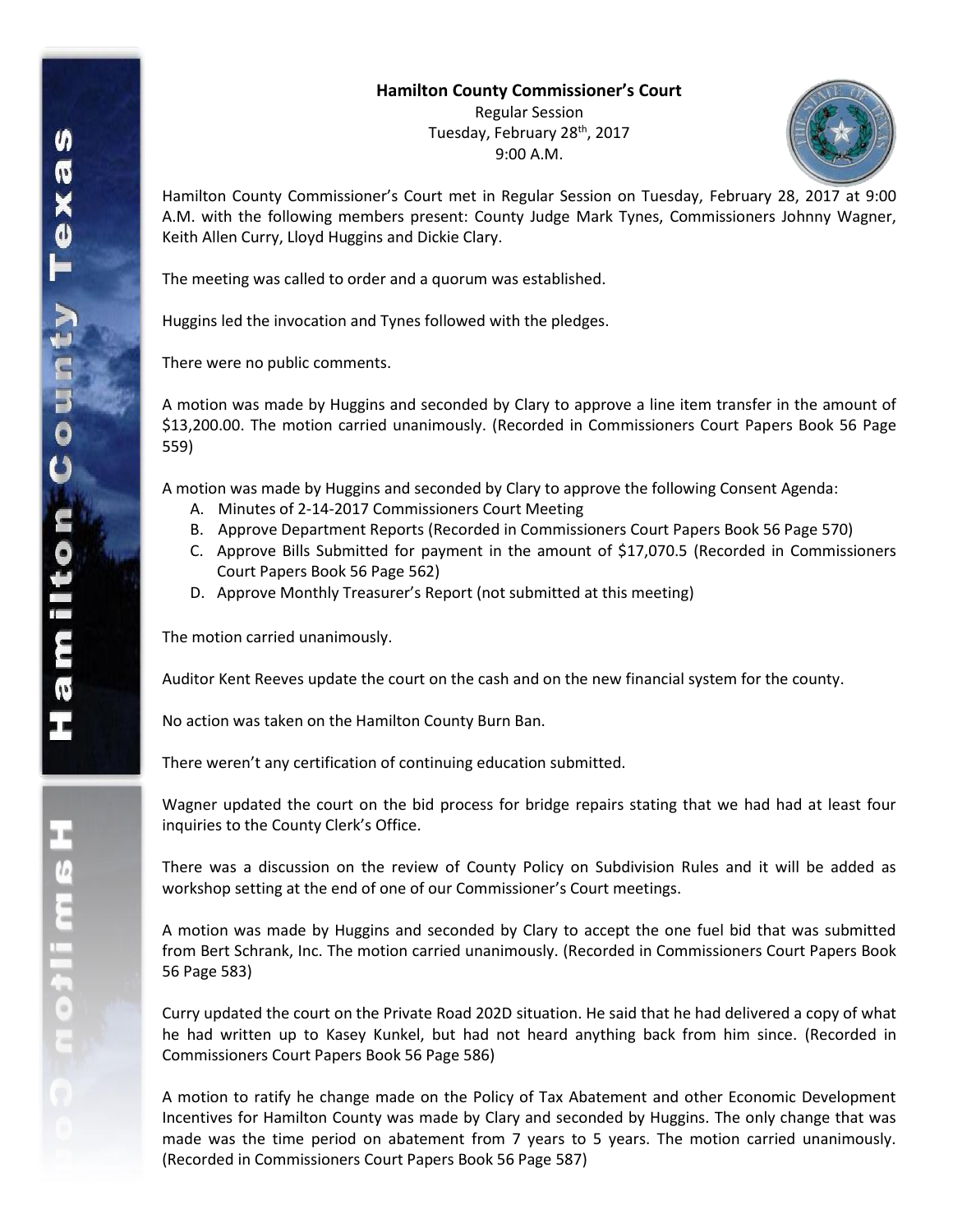## **Hamilton County Commissioner's Court**

Regular Session Tuesday, February 28th, 2017 9:00 A.M.



Hamilton County Commissioner's Court met in Regular Session on Tuesday, February 28, 2017 at 9:00 A.M. with the following members present: County Judge Mark Tynes, Commissioners Johnny Wagner, Keith Allen Curry, Lloyd Huggins and Dickie Clary.

The meeting was called to order and a quorum was established.

Huggins led the invocation and Tynes followed with the pledges.

There were no public comments.

A motion was made by Huggins and seconded by Clary to approve a line item transfer in the amount of \$13,200.00. The motion carried unanimously. (Recorded in Commissioners Court Papers Book 56 Page 559)

A motion was made by Huggins and seconded by Clary to approve the following Consent Agenda:

- A. Minutes of 2-14-2017 Commissioners Court Meeting
- B. Approve Department Reports (Recorded in Commissioners Court Papers Book 56 Page 570)
- C. Approve Bills Submitted for payment in the amount of \$17,070.5 (Recorded in Commissioners Court Papers Book 56 Page 562)
- D. Approve Monthly Treasurer's Report (not submitted at this meeting)

The motion carried unanimously.

Auditor Kent Reeves update the court on the cash and on the new financial system for the county.

No action was taken on the Hamilton County Burn Ban.

There weren't any certification of continuing education submitted.

Wagner updated the court on the bid process for bridge repairs stating that we had had at least four inquiries to the County Clerk's Office.

There was a discussion on the review of County Policy on Subdivision Rules and it will be added as workshop setting at the end of one of our Commissioner's Court meetings.

A motion was made by Huggins and seconded by Clary to accept the one fuel bid that was submitted from Bert Schrank, Inc. The motion carried unanimously. (Recorded in Commissioners Court Papers Book 56 Page 583)

Curry updated the court on the Private Road 202D situation. He said that he had delivered a copy of what he had written up to Kasey Kunkel, but had not heard anything back from him since. (Recorded in Commissioners Court Papers Book 56 Page 586)

A motion to ratify he change made on the Policy of Tax Abatement and other Economic Development Incentives for Hamilton County was made by Clary and seconded by Huggins. The only change that was made was the time period on abatement from 7 years to 5 years. The motion carried unanimously. (Recorded in Commissioners Court Papers Book 56 Page 587)